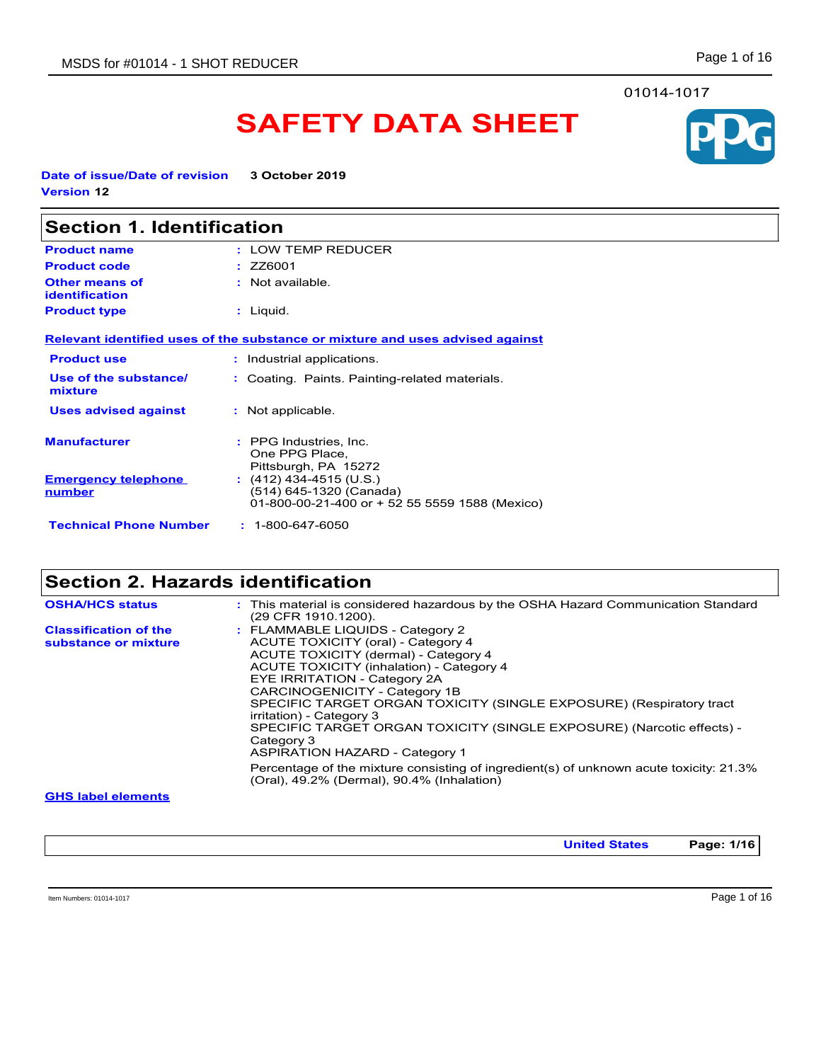#### 01014-1017

# **SAFETY DATA SHEET**

**Date of issue/Date of revision 3 October 2019 Version 12**

| <b>Section 1. Identification</b>                                                                             |                                                                                                      |  |
|--------------------------------------------------------------------------------------------------------------|------------------------------------------------------------------------------------------------------|--|
| <b>Product name</b><br><b>Product code</b><br><b>Other means of</b><br>identification<br><b>Product type</b> | : LOW TEMP REDUCER<br>$:$ ZZ6001<br>: Not available.<br>$:$ Liquid.                                  |  |
|                                                                                                              | Relevant identified uses of the substance or mixture and uses advised against                        |  |
| <b>Product use</b>                                                                                           | : Industrial applications.                                                                           |  |
| Use of the substance/<br>mixture                                                                             | : Coating. Paints. Painting-related materials.                                                       |  |
| <b>Uses advised against</b>                                                                                  | : Not applicable.                                                                                    |  |
| <b>Manufacturer</b>                                                                                          | : PPG Industries, Inc.<br>One PPG Place.<br>Pittsburgh, PA 15272                                     |  |
| <b>Emergency telephone</b><br><u>number</u>                                                                  | $(412)$ 434-4515 (U.S.)<br>(514) 645-1320 (Canada)<br>01-800-00-21-400 or + 52 55 5559 1588 (Mexico) |  |
| <b>Technical Phone Number</b>                                                                                | $: 1 - 800 - 647 - 6050$                                                                             |  |

# **Section 2. Hazards identification**

| <b>OSHA/HCS status</b>                               | : This material is considered hazardous by the OSHA Hazard Communication Standard<br>(29 CFR 1910.1200).                                                                                                                                                                                                                                                                                                                                                       |
|------------------------------------------------------|----------------------------------------------------------------------------------------------------------------------------------------------------------------------------------------------------------------------------------------------------------------------------------------------------------------------------------------------------------------------------------------------------------------------------------------------------------------|
| <b>Classification of the</b><br>substance or mixture | : FLAMMABLE LIQUIDS - Category 2<br>ACUTE TOXICITY (oral) - Category 4<br>ACUTE TOXICITY (dermal) - Category 4<br><b>ACUTE TOXICITY (inhalation) - Category 4</b><br>EYE IRRITATION - Category 2A<br>CARCINOGENICITY - Category 1B<br>SPECIFIC TARGET ORGAN TOXICITY (SINGLE EXPOSURE) (Respiratory tract<br>irritation) - Category 3<br>SPECIFIC TARGET ORGAN TOXICITY (SINGLE EXPOSURE) (Narcotic effects) -<br>Category 3<br>ASPIRATION HAZARD - Category 1 |
|                                                      | Percentage of the mixture consisting of ingredient(s) of unknown acute toxicity: 21.3%<br>(Oral), 49.2% (Dermal), 90.4% (Inhalation)                                                                                                                                                                                                                                                                                                                           |
| <b>CHIC Island Statements</b>                        |                                                                                                                                                                                                                                                                                                                                                                                                                                                                |

**GHS label elements**

**United States Page: 1/16**

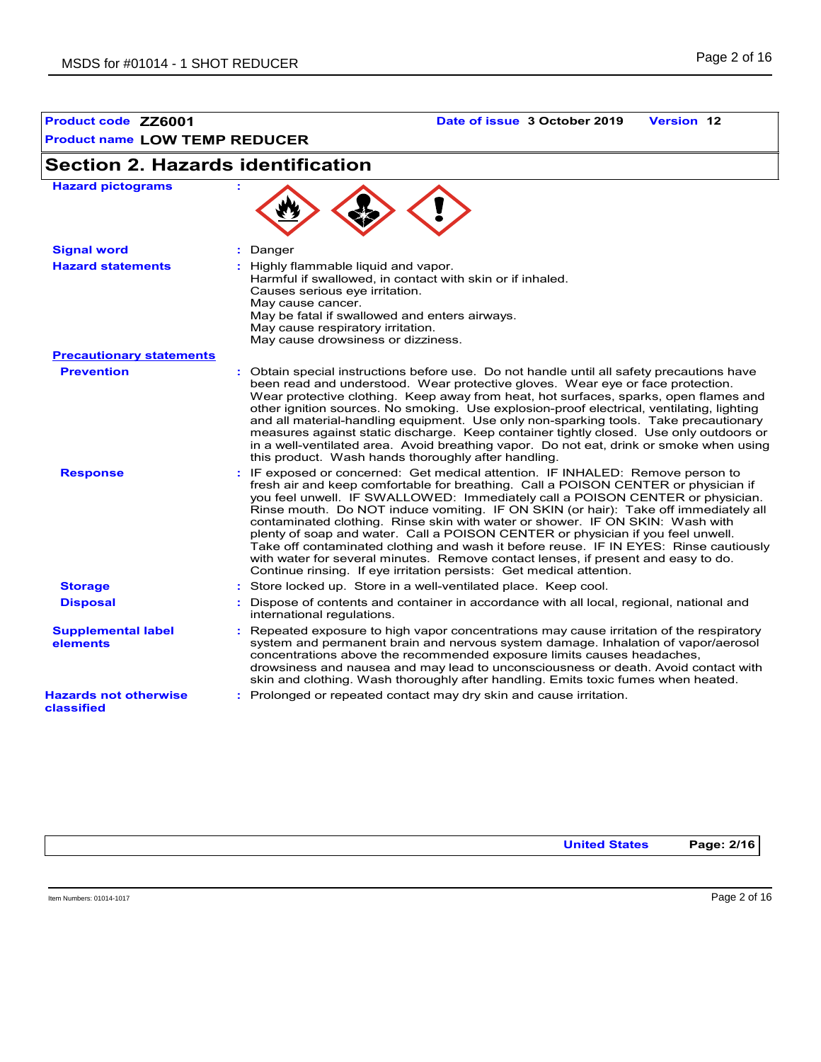**Product code ZZ6001 Date of issue 3 October 2019 Version 12**

**Section 2. Hazards identification**

| <b>Hazard pictograms</b>                   |                                                                                                                                                                                                                                                                                                                                                                                                                                                                                                                                                                                                                                                                                                                                                                        |
|--------------------------------------------|------------------------------------------------------------------------------------------------------------------------------------------------------------------------------------------------------------------------------------------------------------------------------------------------------------------------------------------------------------------------------------------------------------------------------------------------------------------------------------------------------------------------------------------------------------------------------------------------------------------------------------------------------------------------------------------------------------------------------------------------------------------------|
| <b>Signal word</b>                         | : Danger                                                                                                                                                                                                                                                                                                                                                                                                                                                                                                                                                                                                                                                                                                                                                               |
| <b>Hazard statements</b>                   | : Highly flammable liquid and vapor.<br>Harmful if swallowed, in contact with skin or if inhaled.<br>Causes serious eye irritation.<br>May cause cancer.<br>May be fatal if swallowed and enters airways.<br>May cause respiratory irritation.<br>May cause drowsiness or dizziness.                                                                                                                                                                                                                                                                                                                                                                                                                                                                                   |
| <b>Precautionary statements</b>            |                                                                                                                                                                                                                                                                                                                                                                                                                                                                                                                                                                                                                                                                                                                                                                        |
| <b>Prevention</b>                          | : Obtain special instructions before use. Do not handle until all safety precautions have<br>been read and understood. Wear protective gloves. Wear eye or face protection.<br>Wear protective clothing. Keep away from heat, hot surfaces, sparks, open flames and<br>other ignition sources. No smoking. Use explosion-proof electrical, ventilating, lighting<br>and all material-handling equipment. Use only non-sparking tools. Take precautionary<br>measures against static discharge. Keep container tightly closed. Use only outdoors or<br>in a well-ventilated area. Avoid breathing vapor. Do not eat, drink or smoke when using<br>this product. Wash hands thoroughly after handling.                                                                   |
| <b>Response</b>                            | : IF exposed or concerned: Get medical attention. IF INHALED: Remove person to<br>fresh air and keep comfortable for breathing. Call a POISON CENTER or physician if<br>you feel unwell. IF SWALLOWED: Immediately call a POISON CENTER or physician.<br>Rinse mouth. Do NOT induce vomiting. IF ON SKIN (or hair): Take off immediately all<br>contaminated clothing. Rinse skin with water or shower. IF ON SKIN: Wash with<br>plenty of soap and water. Call a POISON CENTER or physician if you feel unwell.<br>Take off contaminated clothing and wash it before reuse. IF IN EYES: Rinse cautiously<br>with water for several minutes. Remove contact lenses, if present and easy to do.<br>Continue rinsing. If eye irritation persists: Get medical attention. |
| <b>Storage</b>                             | : Store locked up. Store in a well-ventilated place. Keep cool.                                                                                                                                                                                                                                                                                                                                                                                                                                                                                                                                                                                                                                                                                                        |
| <b>Disposal</b>                            | : Dispose of contents and container in accordance with all local, regional, national and<br>international regulations.                                                                                                                                                                                                                                                                                                                                                                                                                                                                                                                                                                                                                                                 |
| <b>Supplemental label</b><br>elements      | : Repeated exposure to high vapor concentrations may cause irritation of the respiratory<br>system and permanent brain and nervous system damage. Inhalation of vapor/aerosol<br>concentrations above the recommended exposure limits causes headaches,<br>drowsiness and nausea and may lead to unconsciousness or death. Avoid contact with<br>skin and clothing. Wash thoroughly after handling. Emits toxic fumes when heated.                                                                                                                                                                                                                                                                                                                                     |
| <b>Hazards not otherwise</b><br>classified | : Prolonged or repeated contact may dry skin and cause irritation.                                                                                                                                                                                                                                                                                                                                                                                                                                                                                                                                                                                                                                                                                                     |

**United States Page: 2/16**

Item Numbers: 01014-1017 Page 2 of 16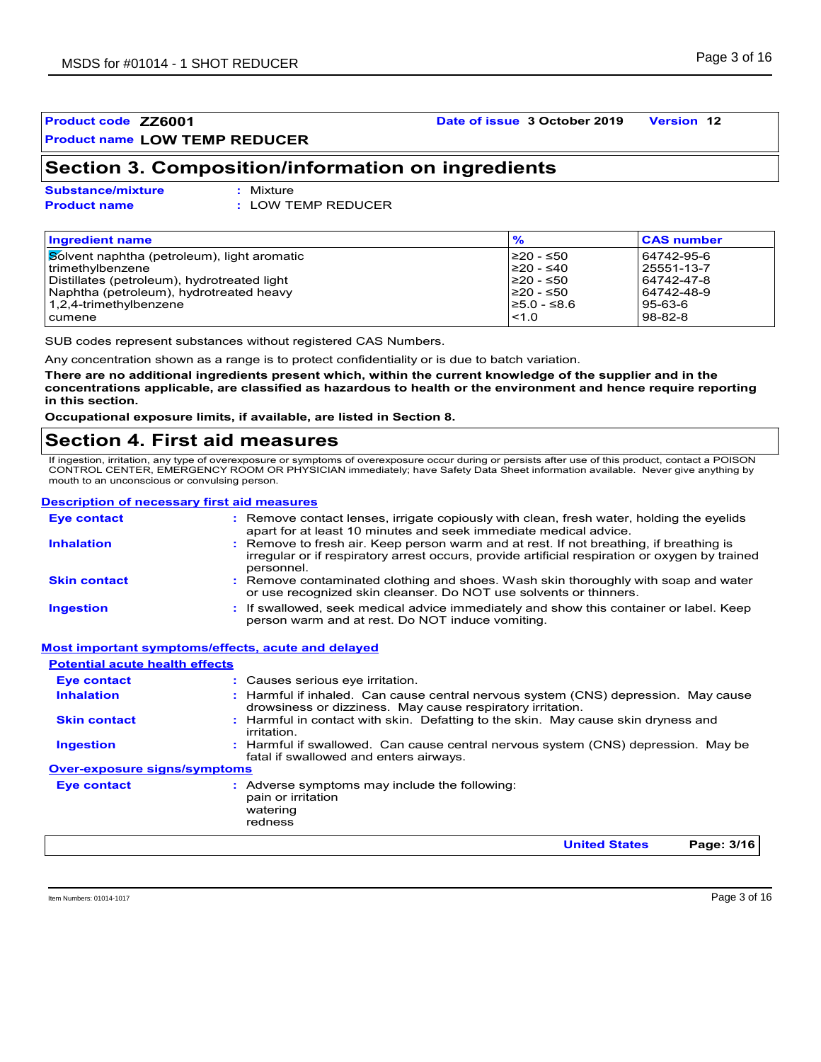#### **Product code ZZ6001 Date of issue 3 October 2019 Version 12**

### **Section 3. Composition/information on ingredients**

**Substance/mixture :**

Mixture **Product name :** LOW TEMP REDUCER

| <b>Ingredient name</b>                      | $\frac{9}{6}$         | <b>CAS number</b> |
|---------------------------------------------|-----------------------|-------------------|
| Solvent naphtha (petroleum), light aromatic | I≥20 - ≤50            | 64742-95-6        |
| trimethylbenzene                            | $\geq 20 - 540$       | 25551-13-7        |
| Distillates (petroleum), hydrotreated light | I≥20 - ≤50            | 64742-47-8        |
| Naphtha (petroleum), hydrotreated heavy     | I≥20 - ≤50            | 64742-48-9        |
| 1,2,4-trimethylbenzene                      | $\geq 5.0 - \leq 8.6$ | 95-63-6           |
| cumene                                      | < 1.0                 | 98-82-8           |

SUB codes represent substances without registered CAS Numbers.

Any concentration shown as a range is to protect confidentiality or is due to batch variation.

**There are no additional ingredients present which, within the current knowledge of the supplier and in the concentrations applicable, are classified as hazardous to health or the environment and hence require reporting in this section.**

**Occupational exposure limits, if available, are listed in Section 8.**

### **Section 4. First aid measures**

If ingestion, irritation, any type of overexposure or symptoms of overexposure occur during or persists after use of this product, contact a POISON CONTROL CENTER, EMERGENCY ROOM OR PHYSICIAN immediately; have Safety Data Sheet information available. Never give anything by mouth to an unconscious or convulsing person.

#### **Description of necessary first aid measures**

| <b>Eye contact</b>                                        | : Remove contact lenses, irrigate copiously with clean, fresh water, holding the eyelids<br>apart for at least 10 minutes and seek immediate medical advice.                                           |
|-----------------------------------------------------------|--------------------------------------------------------------------------------------------------------------------------------------------------------------------------------------------------------|
| <b>Inhalation</b>                                         | : Remove to fresh air. Keep person warm and at rest. If not breathing, if breathing is<br>irregular or if respiratory arrest occurs, provide artificial respiration or oxygen by trained<br>personnel. |
| <b>Skin contact</b>                                       | : Remove contaminated clothing and shoes. Wash skin thoroughly with soap and water<br>or use recognized skin cleanser. Do NOT use solvents or thinners.                                                |
| <b>Ingestion</b>                                          | : If swallowed, seek medical advice immediately and show this container or label. Keep<br>person warm and at rest. Do NOT induce vomiting.                                                             |
| <b>Most important symptoms/effects, acute and delayed</b> |                                                                                                                                                                                                        |
| <b>Potential acute health effects</b>                     |                                                                                                                                                                                                        |
| Eye contact                                               | : Causes serious eye irritation.                                                                                                                                                                       |
| <b>Inhalation</b>                                         | : Harmful if inhaled. Can cause central nervous system (CNS) depression. May cause<br>drowsiness or dizziness. May cause respiratory irritation.                                                       |
| <b>Skin contact</b>                                       | Harmful in contact with skin. Defatting to the skin. May cause skin dryness and<br>irritation                                                                                                          |
| <b>Ingestion</b>                                          | : Harmful if swallowed. Can cause central nervous system (CNS) depression. May be<br>fatal if swallowed and enters airways.                                                                            |
| <b>Over-exposure signs/symptoms</b>                       |                                                                                                                                                                                                        |
| Eye contact                                               | : Adverse symptoms may include the following:<br>pain or irritation<br>watering<br>redness                                                                                                             |
|                                                           | Page: 3/16<br><b>United States</b>                                                                                                                                                                     |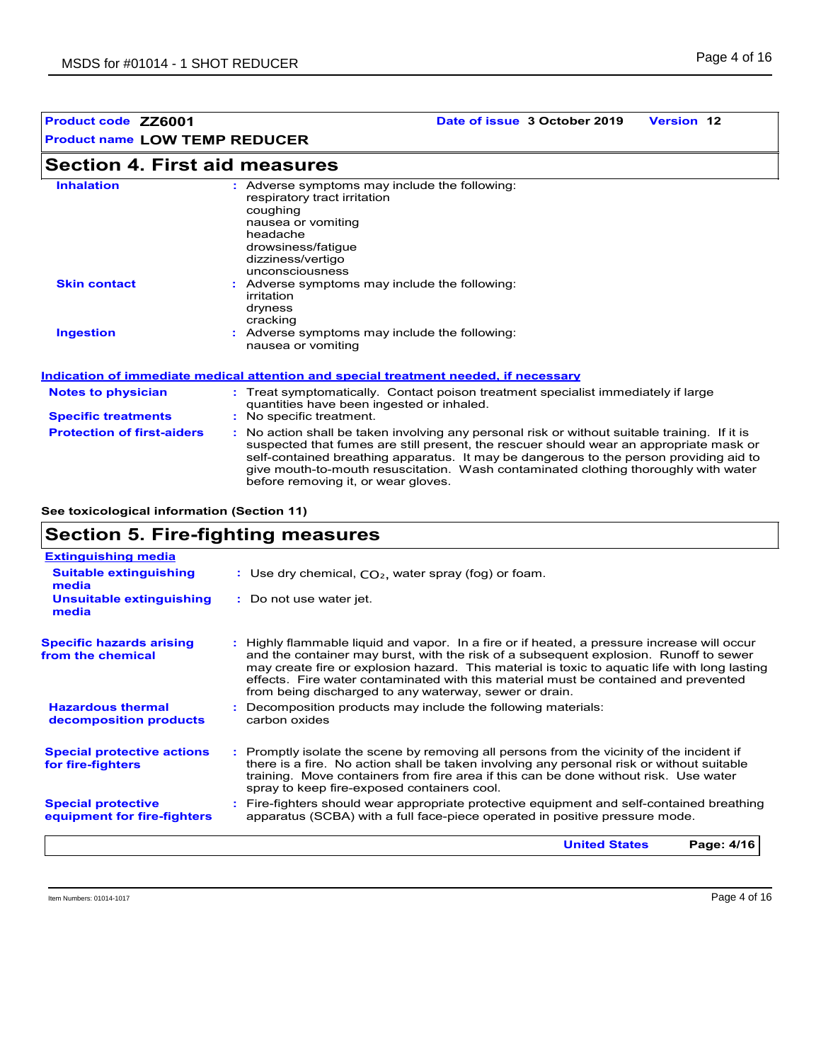| Product code ZZ6001                  | Date of issue 3 October 2019<br><b>Version 12</b>                                                                                                                                                                                                                                                                                                                                                               |
|--------------------------------------|-----------------------------------------------------------------------------------------------------------------------------------------------------------------------------------------------------------------------------------------------------------------------------------------------------------------------------------------------------------------------------------------------------------------|
| <b>Product name LOW TEMP REDUCER</b> |                                                                                                                                                                                                                                                                                                                                                                                                                 |
| <b>Section 4. First aid measures</b> |                                                                                                                                                                                                                                                                                                                                                                                                                 |
| <b>Inhalation</b>                    | : Adverse symptoms may include the following:<br>respiratory tract irritation<br>coughing<br>nausea or vomiting<br>headache<br>drowsiness/fatique<br>dizziness/vertigo<br>unconsciousness                                                                                                                                                                                                                       |
| <b>Skin contact</b>                  | : Adverse symptoms may include the following:<br>irritation<br>dryness<br>cracking                                                                                                                                                                                                                                                                                                                              |
| <b>Ingestion</b>                     | : Adverse symptoms may include the following:<br>nausea or vomiting                                                                                                                                                                                                                                                                                                                                             |
|                                      | Indication of immediate medical attention and special treatment needed, if necessary                                                                                                                                                                                                                                                                                                                            |
| <b>Notes to physician</b>            | : Treat symptomatically. Contact poison treatment specialist immediately if large<br>quantities have been ingested or inhaled.                                                                                                                                                                                                                                                                                  |
| <b>Specific treatments</b>           | : No specific treatment.                                                                                                                                                                                                                                                                                                                                                                                        |
| <b>Protection of first-aiders</b>    | : No action shall be taken involving any personal risk or without suitable training. If it is<br>suspected that fumes are still present, the rescuer should wear an appropriate mask or<br>self-contained breathing apparatus. It may be dangerous to the person providing aid to<br>give mouth-to-mouth resuscitation. Wash contaminated clothing thoroughly with water<br>before removing it, or wear gloves. |

### **See toxicological information (Section 11)**

# **Section 5. Fire-fighting measures**

| <b>Extinguishing media</b>                               |                                                                                                                                                                                                                                                                                                                                                                                                                                        |
|----------------------------------------------------------|----------------------------------------------------------------------------------------------------------------------------------------------------------------------------------------------------------------------------------------------------------------------------------------------------------------------------------------------------------------------------------------------------------------------------------------|
| <b>Suitable extinguishing</b><br>media                   | : Use dry chemical, $CO2$ , water spray (fog) or foam.                                                                                                                                                                                                                                                                                                                                                                                 |
| <b>Unsuitable extinguishing</b><br>media                 | : Do not use water jet.                                                                                                                                                                                                                                                                                                                                                                                                                |
| <b>Specific hazards arising</b><br>from the chemical     | : Highly flammable liquid and vapor. In a fire or if heated, a pressure increase will occur<br>and the container may burst, with the risk of a subsequent explosion. Runoff to sewer<br>may create fire or explosion hazard. This material is toxic to aquatic life with long lasting<br>effects. Fire water contaminated with this material must be contained and prevented<br>from being discharged to any waterway, sewer or drain. |
| <b>Hazardous thermal</b><br>decomposition products       | Decomposition products may include the following materials:<br>carbon oxides                                                                                                                                                                                                                                                                                                                                                           |
| <b>Special protective actions</b><br>for fire-fighters   | : Promptly isolate the scene by removing all persons from the vicinity of the incident if<br>there is a fire. No action shall be taken involving any personal risk or without suitable<br>training. Move containers from fire area if this can be done without risk. Use water<br>spray to keep fire-exposed containers cool.                                                                                                          |
| <b>Special protective</b><br>equipment for fire-fighters | : Fire-fighters should wear appropriate protective equipment and self-contained breathing<br>apparatus (SCBA) with a full face-piece operated in positive pressure mode.                                                                                                                                                                                                                                                               |
|                                                          | <b>United States</b><br>Page: 4/16                                                                                                                                                                                                                                                                                                                                                                                                     |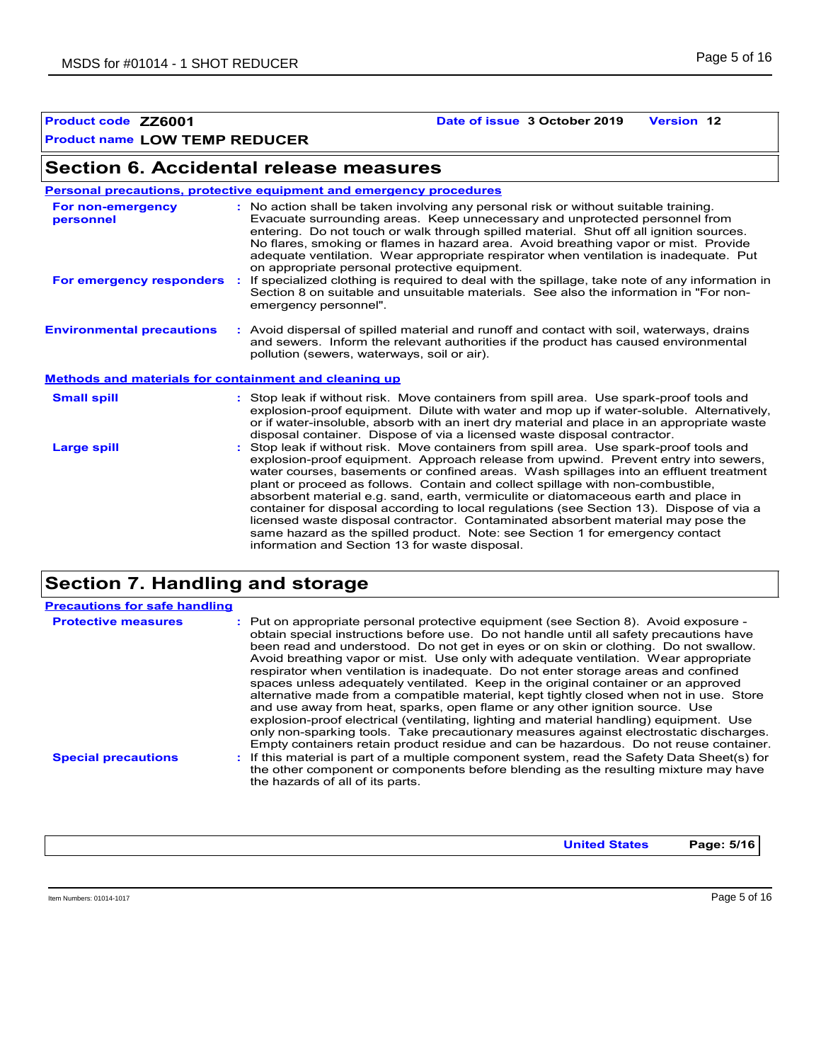**Product code ZZ6001 Date of issue 3 October 2019 Version 12**

# **Product name LOW TEMP REDUCER**

# **Section 6. Accidental release measures**

|                                                       | Personal precautions, protective equipment and emergency procedures                                                                                                                                                                                                                                                                                                                                                                                                                                                                                                                                                                                                                                                                                                |
|-------------------------------------------------------|--------------------------------------------------------------------------------------------------------------------------------------------------------------------------------------------------------------------------------------------------------------------------------------------------------------------------------------------------------------------------------------------------------------------------------------------------------------------------------------------------------------------------------------------------------------------------------------------------------------------------------------------------------------------------------------------------------------------------------------------------------------------|
| <b>For non-emergency</b><br>personnel                 | : No action shall be taken involving any personal risk or without suitable training.<br>Evacuate surrounding areas. Keep unnecessary and unprotected personnel from<br>entering. Do not touch or walk through spilled material. Shut off all ignition sources.<br>No flares, smoking or flames in hazard area. Avoid breathing vapor or mist. Provide<br>adequate ventilation. Wear appropriate respirator when ventilation is inadequate. Put<br>on appropriate personal protective equipment.                                                                                                                                                                                                                                                                    |
| For emergency responders                              | If specialized clothing is required to deal with the spillage, take note of any information in<br>Section 8 on suitable and unsuitable materials. See also the information in "For non-<br>emergency personnel".                                                                                                                                                                                                                                                                                                                                                                                                                                                                                                                                                   |
| <b>Environmental precautions</b>                      | : Avoid dispersal of spilled material and runoff and contact with soil, waterways, drains<br>and sewers. Inform the relevant authorities if the product has caused environmental<br>pollution (sewers, waterways, soil or air).                                                                                                                                                                                                                                                                                                                                                                                                                                                                                                                                    |
| Methods and materials for containment and cleaning up |                                                                                                                                                                                                                                                                                                                                                                                                                                                                                                                                                                                                                                                                                                                                                                    |
| <b>Small spill</b>                                    | : Stop leak if without risk. Move containers from spill area. Use spark-proof tools and<br>explosion-proof equipment. Dilute with water and mop up if water-soluble. Alternatively,<br>or if water-insoluble, absorb with an inert dry material and place in an appropriate waste<br>disposal container. Dispose of via a licensed waste disposal contractor.                                                                                                                                                                                                                                                                                                                                                                                                      |
| <b>Large spill</b>                                    | Stop leak if without risk. Move containers from spill area. Use spark-proof tools and<br>explosion-proof equipment. Approach release from upwind. Prevent entry into sewers,<br>water courses, basements or confined areas. Wash spillages into an effluent treatment<br>plant or proceed as follows. Contain and collect spillage with non-combustible,<br>absorbent material e.g. sand, earth, vermiculite or diatomaceous earth and place in<br>container for disposal according to local regulations (see Section 13). Dispose of via a<br>licensed waste disposal contractor. Contaminated absorbent material may pose the<br>same hazard as the spilled product. Note: see Section 1 for emergency contact<br>information and Section 13 for waste disposal. |

# **Section 7. Handling and storage**

| <b>Precautions for safe handling</b> |                                                                                                                                                                                                                                                                                                                                                                                                                                                                                                                                                                                                                                                                                                                                                                                                                                                                                                                                                                                                     |
|--------------------------------------|-----------------------------------------------------------------------------------------------------------------------------------------------------------------------------------------------------------------------------------------------------------------------------------------------------------------------------------------------------------------------------------------------------------------------------------------------------------------------------------------------------------------------------------------------------------------------------------------------------------------------------------------------------------------------------------------------------------------------------------------------------------------------------------------------------------------------------------------------------------------------------------------------------------------------------------------------------------------------------------------------------|
| <b>Protective measures</b>           | : Put on appropriate personal protective equipment (see Section 8). Avoid exposure -<br>obtain special instructions before use. Do not handle until all safety precautions have<br>been read and understood. Do not get in eyes or on skin or clothing. Do not swallow.<br>Avoid breathing vapor or mist. Use only with adequate ventilation. Wear appropriate<br>respirator when ventilation is inadequate. Do not enter storage areas and confined<br>spaces unless adequately ventilated. Keep in the original container or an approved<br>alternative made from a compatible material, kept tightly closed when not in use. Store<br>and use away from heat, sparks, open flame or any other ignition source. Use<br>explosion-proof electrical (ventilating, lighting and material handling) equipment. Use<br>only non-sparking tools. Take precautionary measures against electrostatic discharges.<br>Empty containers retain product residue and can be hazardous. Do not reuse container. |
| <b>Special precautions</b>           | : If this material is part of a multiple component system, read the Safety Data Sheet(s) for<br>the other component or components before blending as the resulting mixture may have<br>the hazards of all of its parts.                                                                                                                                                                                                                                                                                                                                                                                                                                                                                                                                                                                                                                                                                                                                                                             |

**United States Page: 5/16**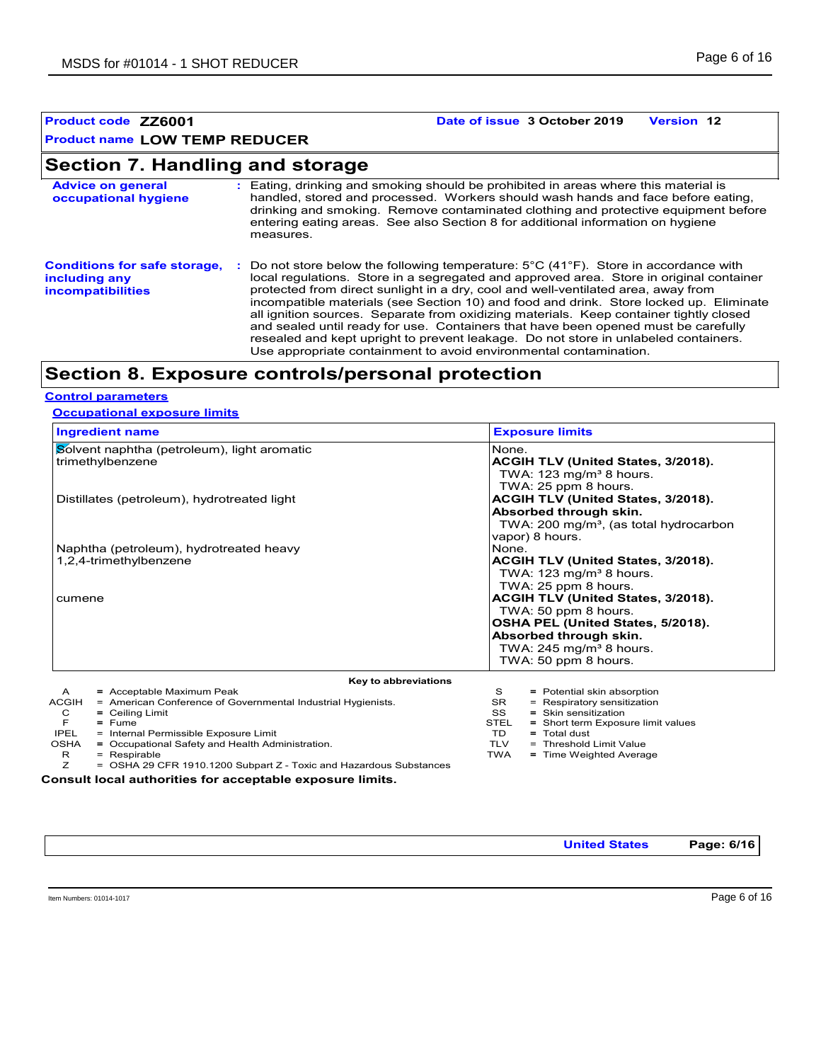## **Section 7. Handling and storage**

| <b>Advice on general</b><br>occupational hygiene                                 | Eating, drinking and smoking should be prohibited in areas where this material is<br>handled, stored and processed. Workers should wash hands and face before eating.<br>drinking and smoking. Remove contaminated clothing and protective equipment before<br>entering eating areas. See also Section 8 for additional information on hygiene<br>measures.                                                                                                                                                                                                                                                                                                                                                                     |
|----------------------------------------------------------------------------------|---------------------------------------------------------------------------------------------------------------------------------------------------------------------------------------------------------------------------------------------------------------------------------------------------------------------------------------------------------------------------------------------------------------------------------------------------------------------------------------------------------------------------------------------------------------------------------------------------------------------------------------------------------------------------------------------------------------------------------|
| <b>Conditions for safe storage,</b><br>including any<br><i>incompatibilities</i> | Do not store below the following temperature: $5^{\circ}$ C (41 <sup>°</sup> F). Store in accordance with<br>local regulations. Store in a segregated and approved area. Store in original container<br>protected from direct sunlight in a dry, cool and well-ventilated area, away from<br>incompatible materials (see Section 10) and food and drink. Store locked up. Eliminate<br>all ignition sources. Separate from oxidizing materials. Keep container tightly closed<br>and sealed until ready for use. Containers that have been opened must be carefully<br>resealed and kept upright to prevent leakage. Do not store in unlabeled containers.<br>Use appropriate containment to avoid environmental contamination. |

# **Section 8. Exposure controls/personal protection**

**Control parameters Occupational exposure limits**

| <b>Ingredient name</b>                                                       | <b>Exposure limits</b>                                                             |  |
|------------------------------------------------------------------------------|------------------------------------------------------------------------------------|--|
| Solvent naphtha (petroleum), light aromatic                                  | None.                                                                              |  |
| trimethylbenzene                                                             | <b>ACGIH TLV (United States, 3/2018).</b>                                          |  |
|                                                                              | TWA: $123 \text{ mg/m}^3$ 8 hours.                                                 |  |
|                                                                              | TWA: 25 ppm 8 hours.                                                               |  |
| Distillates (petroleum), hydrotreated light                                  | ACGIH TLV (United States, 3/2018).                                                 |  |
|                                                                              | Absorbed through skin.                                                             |  |
|                                                                              | TWA: 200 mg/m <sup>3</sup> , (as total hydrocarbon                                 |  |
|                                                                              | vapor) 8 hours.                                                                    |  |
| Naphtha (petroleum), hydrotreated heavy                                      | None.                                                                              |  |
| 1,2,4-trimethylbenzene                                                       | <b>ACGIH TLV (United States, 3/2018).</b>                                          |  |
|                                                                              | TWA: $123 \text{ mg/m}^3$ 8 hours.                                                 |  |
|                                                                              | TWA: 25 ppm 8 hours.                                                               |  |
| cumene                                                                       | ACGIH TLV (United States, 3/2018).                                                 |  |
|                                                                              | TWA: 50 ppm 8 hours.                                                               |  |
|                                                                              | OSHA PEL (United States, 5/2018).                                                  |  |
|                                                                              | Absorbed through skin.                                                             |  |
|                                                                              | TWA: $245 \text{ mg/m}^3$ 8 hours.                                                 |  |
|                                                                              | TWA: 50 ppm 8 hours.                                                               |  |
| Key to abbreviations                                                         |                                                                                    |  |
| = Acceptable Maximum Peak<br>A                                               | S<br>= Potential skin absorption                                                   |  |
| <b>ACGIH</b><br>= American Conference of Governmental Industrial Hygienists. | <b>SR</b><br>= Respiratory sensitization                                           |  |
| C<br>$=$ Ceiling Limit<br>F<br>$=$ Fume                                      | SS.<br>$=$ Skin sensitization<br><b>STEL</b><br>= Short term Exposure limit values |  |
| <b>IPEL</b><br>= Internal Permissible Exposure Limit                         | TD.<br>$=$ Total dust                                                              |  |
| <b>OSHA</b><br>= Occupational Safety and Health Administration.              | <b>TLV</b><br>= Threshold Limit Value                                              |  |
| R<br>= Respirable                                                            | <b>TWA</b><br>= Time Weighted Average                                              |  |

- 
- = Respirable
- SHA = Occupational Safety and Health Administration.<br>R = Respirable<br>Z = OSHA 29 CFR 1910.1200 Subpart Z Toxic and = OSHA 29 CFR 1910.1200 Subpart Z - Toxic and Hazardous Substances

**Consult local authorities for acceptable exposure limits.**

**United States Page: 6/16**

 $=$  Time Weighted Average

**Product code ZZ6001 Date of issue 3 October 2019 Version 12**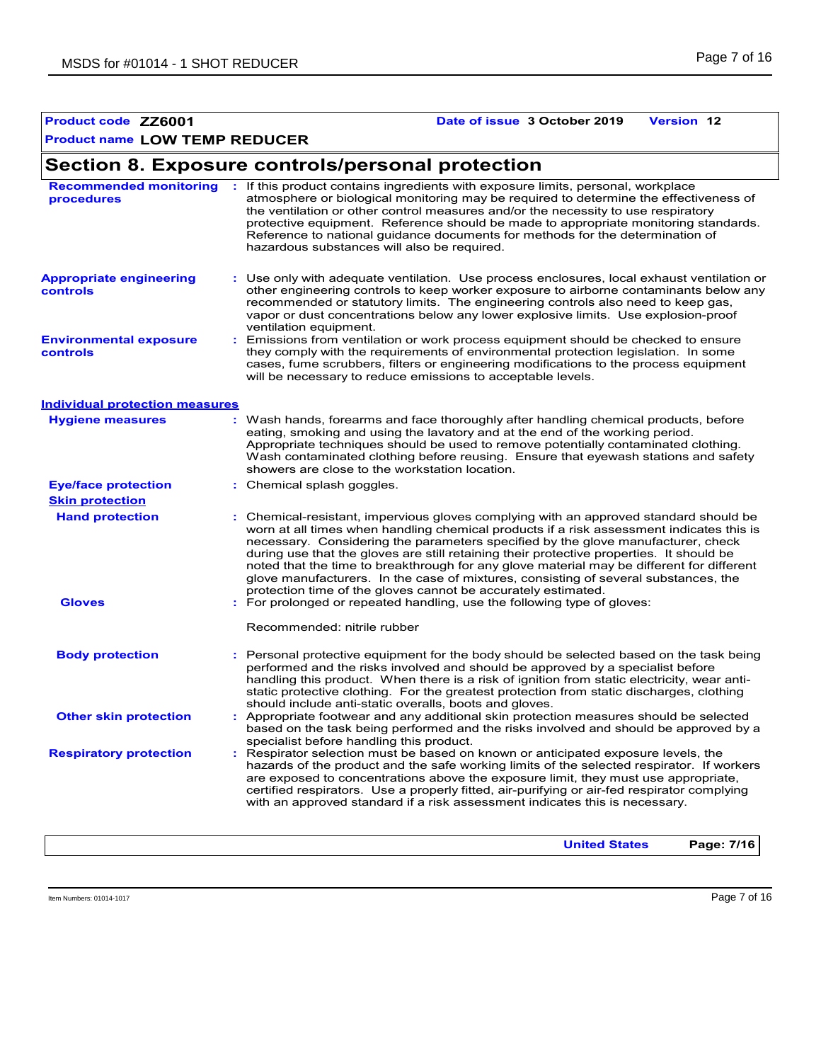**Section 8. Exposure controls/personal protection**

#### **Product code ZZ6001 Date of issue 3 October 2019 Version 12**

atmosphere or biological monitoring may be required to determine the effectiveness of

#### **Hand protection** Chemical-resistant, impervious gloves complying with an approved standard should be **:** worn at all times when handling chemical products if a risk assessment indicates this is necessary. Considering the parameters specified by the glove manufacturer, check during use that the gloves are still retaining their protective properties. It should be noted that the time to breakthrough for any glove material may be different for different glove manufacturers. In the case of mixtures, consisting of several substances, the protection time of the gloves cannot be accurately estimated. **Eye/face protection Respiratory protection : :** Chemical splash goggles. Body protection **Personal protective equipment for the body** should be selected based on the task being performed and the risks involved and should be approved by a specialist before handling this product. When there is a risk of ignition from static electricity, wear antistatic protective clothing. For the greatest protection from static discharges, clothing should include anti-static overalls, boots and gloves. **Environmental exposure controls :** Emissions from ventilation or work process equipment should be checked to ensure they comply with the requirements of environmental protection legislation. In some cases, fume scrubbers, filters or engineering modifications to the process equipment will be necessary to reduce emissions to acceptable levels. **Appropriate engineering controls :** Use only with adequate ventilation. Use process enclosures, local exhaust ventilation or other engineering controls to keep worker exposure to airborne contaminants below any recommended or statutory limits. The engineering controls also need to keep gas, vapor or dust concentrations below any lower explosive limits. Use explosion-proof ventilation equipment. Wash hands, forearms and face thoroughly after handling chemical products, before eating, smoking and using the lavatory and at the end of the working period. Appropriate techniques should be used to remove potentially contaminated clothing. Wash contaminated clothing before reusing. Ensure that eyewash stations and safety showers are close to the workstation location. **Hygiene measures : Individual protection measures Skin protection Other skin protection : procedures** the ventilation or other control measures and/or the necessity to use respiratory protective equipment. Reference should be made to appropriate monitoring standards. Reference to national guidance documents for methods for the determination of hazardous substances will also be required. Gloves **For prolonged or repeated handling, use the following type of gloves:** Recommended: nitrile rubber Appropriate footwear and any additional skin protection measures should be selected based on the task being performed and the risks involved and should be approved by a specialist before handling this product. Respirator selection must be based on known or anticipated exposure levels, the hazards of the product and the safe working limits of the selected respirator. If workers are exposed to concentrations above the exposure limit, they must use appropriate, certified respirators. Use a properly fitted, air-purifying or air-fed respirator complying with an approved standard if a risk assessment indicates this is necessary. **United States Page: 7/16**

**Recommended monitoring :** If this product contains ingredients with exposure limits, personal, workplace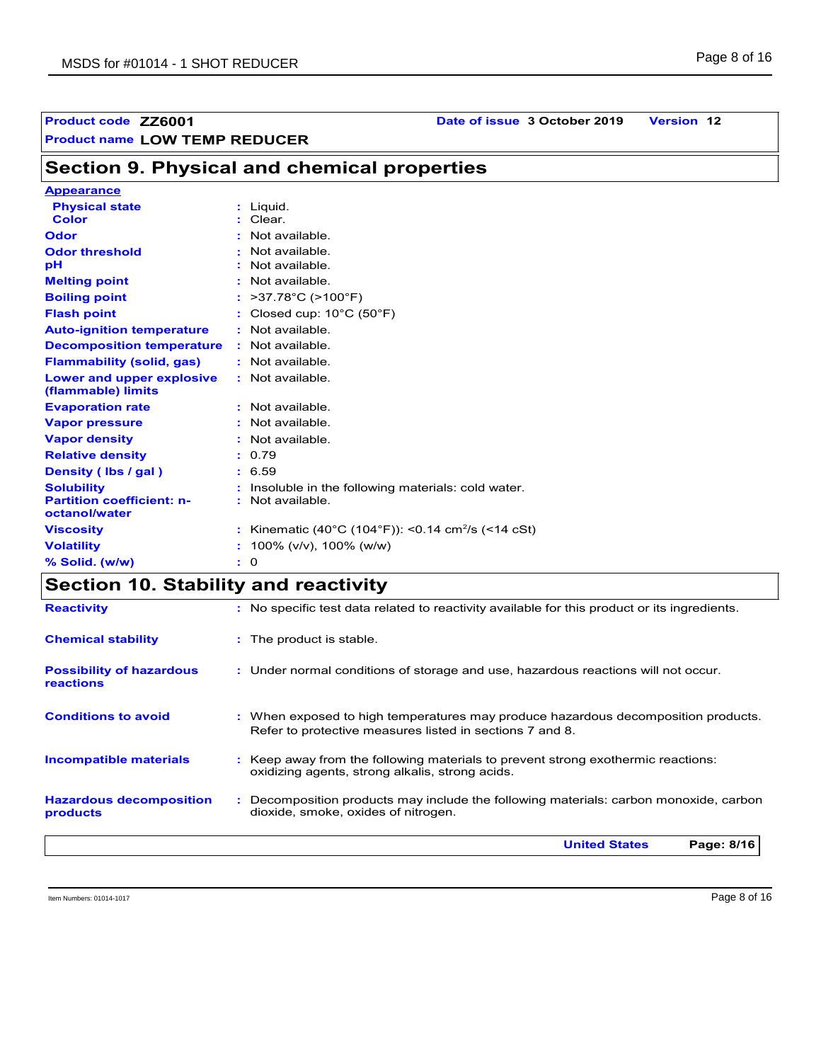**Section 9. Physical and chemical properties**

| <b>Appearance</b>                                      |                                                              |  |
|--------------------------------------------------------|--------------------------------------------------------------|--|
| <b>Physical state</b>                                  | Liguid.                                                      |  |
| <b>Color</b>                                           | : Clear.                                                     |  |
| Odor                                                   | : Not available.                                             |  |
| <b>Odor threshold</b>                                  | Not available.                                               |  |
| рH                                                     | Not available.                                               |  |
| <b>Melting point</b>                                   | : Not available.                                             |  |
| <b>Boiling point</b>                                   | : $>37.78^{\circ}$ C ( $>100^{\circ}$ F)                     |  |
| <b>Flash point</b>                                     | Closed cup: $10^{\circ}$ C (50 $^{\circ}$ F)                 |  |
| <b>Auto-ignition temperature</b>                       | : Not available.                                             |  |
| <b>Decomposition temperature</b>                       | : Not available.                                             |  |
| <b>Flammability (solid, gas)</b>                       | : Not available.                                             |  |
| <b>Lower and upper explosive</b><br>(flammable) limits | : Not available.                                             |  |
| <b>Evaporation rate</b>                                | Not available.                                               |  |
| <b>Vapor pressure</b>                                  | : Not available.                                             |  |
| <b>Vapor density</b>                                   | Not available.                                               |  |
| <b>Relative density</b>                                | : 0.79                                                       |  |
| Density (Ibs / gal)                                    | : 6.59                                                       |  |
| <b>Solubility</b>                                      | Insoluble in the following materials: cold water.            |  |
| <b>Partition coefficient: n-</b><br>octanol/water      | : Not available.                                             |  |
| <b>Viscosity</b>                                       | Kinematic (40°C (104°F)): <0.14 cm <sup>2</sup> /s (<14 cSt) |  |
| <b>Volatility</b>                                      | 100% (v/v), 100% (w/w)                                       |  |
| % Solid. (w/w)                                         | 0<br>÷.                                                      |  |
|                                                        |                                                              |  |

# **Section 10. Stability and reactivity**

|                                                   | Page: 8/16<br><b>United States</b>                                                                                                            |
|---------------------------------------------------|-----------------------------------------------------------------------------------------------------------------------------------------------|
| <b>Hazardous decomposition</b><br><b>products</b> | : Decomposition products may include the following materials: carbon monoxide, carbon<br>dioxide, smoke, oxides of nitrogen.                  |
| <b>Incompatible materials</b>                     | : Keep away from the following materials to prevent strong exothermic reactions:<br>oxidizing agents, strong alkalis, strong acids.           |
| <b>Conditions to avoid</b>                        | : When exposed to high temperatures may produce hazardous decomposition products.<br>Refer to protective measures listed in sections 7 and 8. |
| <b>Possibility of hazardous</b><br>reactions      | : Under normal conditions of storage and use, hazardous reactions will not occur.                                                             |
| <b>Chemical stability</b>                         | : The product is stable.                                                                                                                      |
| <b>Reactivity</b>                                 | : No specific test data related to reactivity available for this product or its ingredients.                                                  |

Item Numbers: 01014-1017 Page 8 of 16

| Product code ZZ6001 | Date of issue 3 October 2019 | <b>Version 12</b> |
|---------------------|------------------------------|-------------------|
|                     |                              |                   |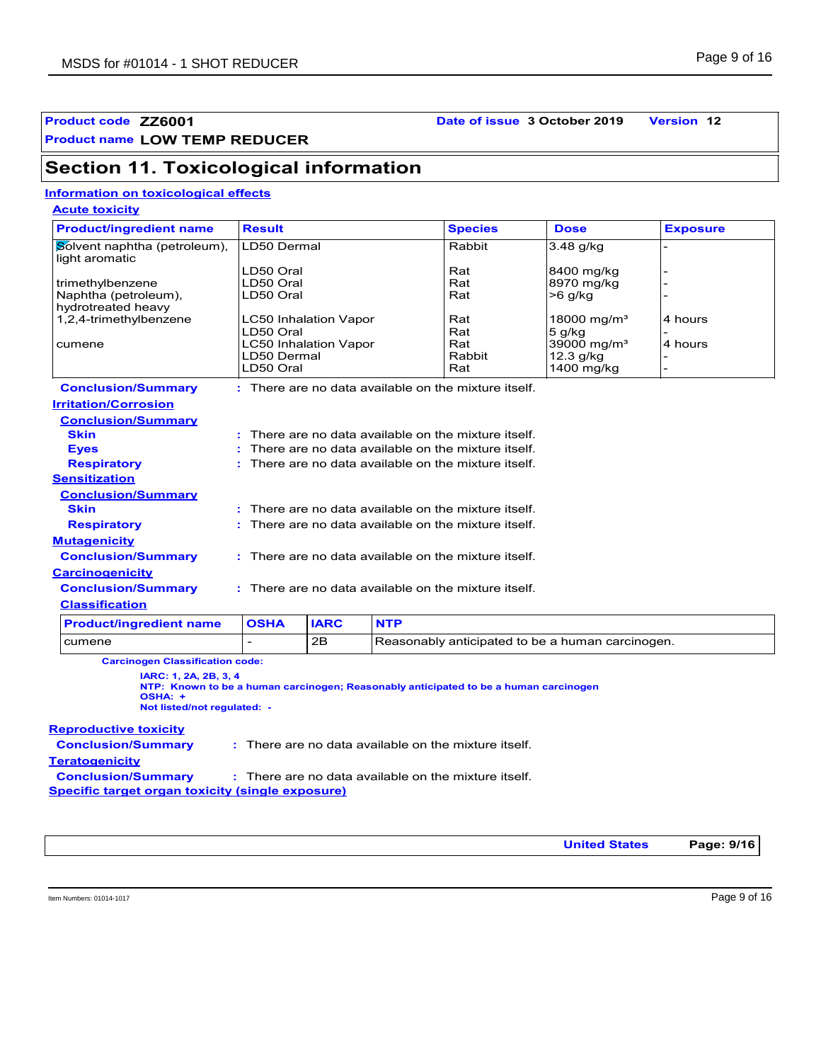**Product code ZZ6001 Date of issue 3 October 2019 Version 12**

# **Section 11. Toxicological information**

#### **Information on toxicological effects**

**Acute toxicity**

| <b>Product/ingredient name</b>                 | <b>Result</b>                                        |                                                      |            | <b>Species</b>                                                                       | <b>Dose</b>                                      | <b>Exposure</b> |
|------------------------------------------------|------------------------------------------------------|------------------------------------------------------|------------|--------------------------------------------------------------------------------------|--------------------------------------------------|-----------------|
| Solvent naphtha (petroleum),<br>light aromatic | LD50 Dermal                                          |                                                      |            | Rabbit                                                                               | $3.48$ g/kg                                      |                 |
|                                                | LD50 Oral                                            |                                                      |            | Rat                                                                                  | 8400 mg/kg                                       |                 |
| trimethylbenzene                               | LD50 Oral                                            |                                                      |            | Rat                                                                                  | 8970 mg/kg                                       |                 |
| Naphtha (petroleum),                           | LD50 Oral                                            |                                                      |            | Rat                                                                                  | $>6$ g/kg                                        |                 |
| hydrotreated heavy                             |                                                      |                                                      |            |                                                                                      |                                                  |                 |
| 1,2,4-trimethylbenzene                         | LD50 Oral                                            | <b>LC50 Inhalation Vapor</b>                         |            | Rat<br>Rat                                                                           | 18000 mg/m <sup>3</sup>                          | 4 hours         |
| cumene                                         |                                                      | LC50 Inhalation Vapor                                |            | Rat                                                                                  | $5$ g/kg<br>39000 mg/m <sup>3</sup>              | 4 hours         |
|                                                | LD50 Dermal                                          |                                                      |            | Rabbit                                                                               | $12.3$ g/kg                                      |                 |
|                                                | LD50 Oral                                            |                                                      |            | Rat                                                                                  | 1400 mg/kg                                       |                 |
| <b>Conclusion/Summary</b>                      |                                                      |                                                      |            | : There are no data available on the mixture itself.                                 |                                                  |                 |
| <b>Irritation/Corrosion</b>                    |                                                      |                                                      |            |                                                                                      |                                                  |                 |
| <b>Conclusion/Summary</b>                      |                                                      |                                                      |            |                                                                                      |                                                  |                 |
| <b>Skin</b>                                    |                                                      |                                                      |            | $\therefore$ There are no data available on the mixture itself.                      |                                                  |                 |
| <b>Eyes</b>                                    |                                                      |                                                      |            | There are no data available on the mixture itself.                                   |                                                  |                 |
| <b>Respiratory</b>                             |                                                      |                                                      |            | $\therefore$ There are no data available on the mixture itself.                      |                                                  |                 |
| <b>Sensitization</b>                           |                                                      |                                                      |            |                                                                                      |                                                  |                 |
| <b>Conclusion/Summary</b>                      |                                                      |                                                      |            |                                                                                      |                                                  |                 |
| <b>Skin</b>                                    |                                                      |                                                      |            | There are no data available on the mixture itself.                                   |                                                  |                 |
| <b>Respiratory</b>                             |                                                      | : There are no data available on the mixture itself. |            |                                                                                      |                                                  |                 |
| <b>Mutagenicity</b>                            |                                                      |                                                      |            |                                                                                      |                                                  |                 |
| <b>Conclusion/Summary</b>                      | : There are no data available on the mixture itself. |                                                      |            |                                                                                      |                                                  |                 |
| <b>Carcinogenicity</b>                         |                                                      |                                                      |            |                                                                                      |                                                  |                 |
| <b>Conclusion/Summary</b>                      |                                                      |                                                      |            | : There are no data available on the mixture itself.                                 |                                                  |                 |
| <b>Classification</b>                          |                                                      |                                                      |            |                                                                                      |                                                  |                 |
| <b>Product/ingredient name</b>                 | <b>OSHA</b>                                          | <b>IARC</b>                                          | <b>NTP</b> |                                                                                      |                                                  |                 |
| cumene                                         |                                                      | 2B                                                   |            |                                                                                      | Reasonably anticipated to be a human carcinogen. |                 |
| <b>Carcinogen Classification code:</b>         |                                                      |                                                      |            |                                                                                      |                                                  |                 |
| IARC: 1, 2A, 2B, 3, 4                          |                                                      |                                                      |            |                                                                                      |                                                  |                 |
| OSHA: +                                        |                                                      |                                                      |            | NTP: Known to be a human carcinogen; Reasonably anticipated to be a human carcinogen |                                                  |                 |
| Not listed/not regulated: -                    |                                                      |                                                      |            |                                                                                      |                                                  |                 |

#### **Reproductive toxicity**

**Conclusion/Summary :** There are no data available on the mixture itself.

**Teratogenicity**

**Conclusion/Summary : Specific target organ toxicity (single exposure)** : There are no data available on the mixture itself.

**United States Page: 9/16**

Item Numbers: 01014-1017 Page 9 of 16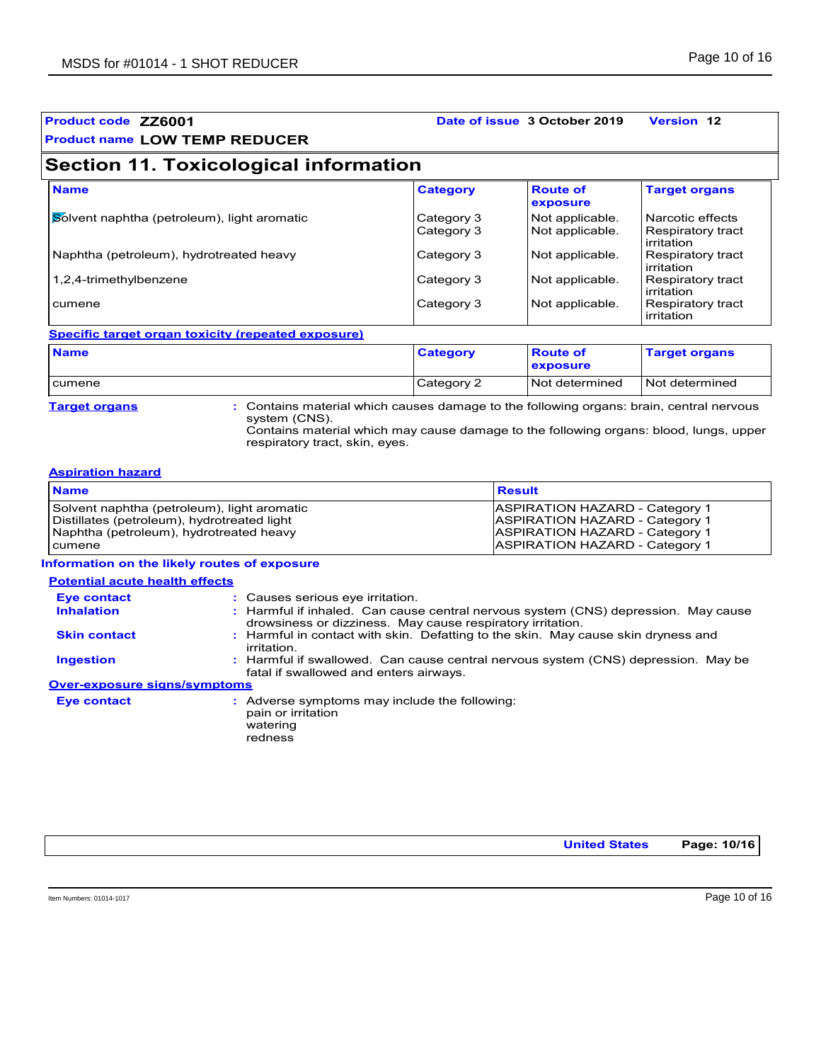#### **Product name LOW TEMP REDUCER Product code ZZ6001 Date of issue 3 October 2019 Version 12 Section 11. Toxicological information Name** Solvent naphtha (petroleum), light aromatic  $\begin{array}{|l|l|}\n\hline\n\end{array}$  Category 3  $\begin{array}{|l|l|}\n\hline\n\end{array}$  Not applicable. Respiratory tract Respiratory tract irritation Naphtha (petroleum), hydrotreated heavy **Category 3** Not applicable. Respiratory tract irritation<br>Respiratory tract 1,2,4-trimethylbenzene Category 3 Not applicable. irritation cumene **Category 3** Not applicable. Respiratory tract irritation **Category Route of exposure Target organs**

#### **Specific target organ toxicity (repeated exposure)**

| <b>Name</b> | <b>Category</b> | <b>Route of</b><br>exposure | <b>Target organs</b> |
|-------------|-----------------|-----------------------------|----------------------|
| cumene      | Category 2      | Not determined              | Not determined       |

**Target organs :** Contains material which causes damage to the following organs: brain, central nervous system (CNS).

Contains material which may cause damage to the following organs: blood, lungs, upper respiratory tract, skin, eyes.

#### **Aspiration hazard**

| <b>Name</b>                                 | <b>Result</b>                         |
|---------------------------------------------|---------------------------------------|
| Solvent naphtha (petroleum), light aromatic | <b>ASPIRATION HAZARD - Category 1</b> |
| Distillates (petroleum), hydrotreated light | <b>ASPIRATION HAZARD - Category 1</b> |
| Naphtha (petroleum), hydrotreated heavy     | <b>ASPIRATION HAZARD - Category 1</b> |
| <b>cumene</b>                               | <b>ASPIRATION HAZARD - Category 1</b> |

#### **Information on the likely routes of exposure**

#### **Potential acute health effects**

| Eye contact<br><b>Inhalation</b>    | : Causes serious eye irritation.<br>: Harmful if inhaled. Can cause central nervous system (CNS) depression. May cause                                         |
|-------------------------------------|----------------------------------------------------------------------------------------------------------------------------------------------------------------|
| <b>Skin contact</b>                 | drowsiness or dizziness. May cause respiratory irritation.<br>: Harmful in contact with skin. Defatting to the skin. May cause skin dryness and<br>irritation. |
| <b>Ingestion</b>                    | : Harmful if swallowed. Can cause central nervous system (CNS) depression. May be<br>fatal if swallowed and enters airways.                                    |
| <b>Over-exposure signs/symptoms</b> |                                                                                                                                                                |
| <b>Eye contact</b>                  | : Adverse symptoms may include the following:<br>pain or irritation<br>watering<br>redness                                                                     |

**United States Page: 10/16**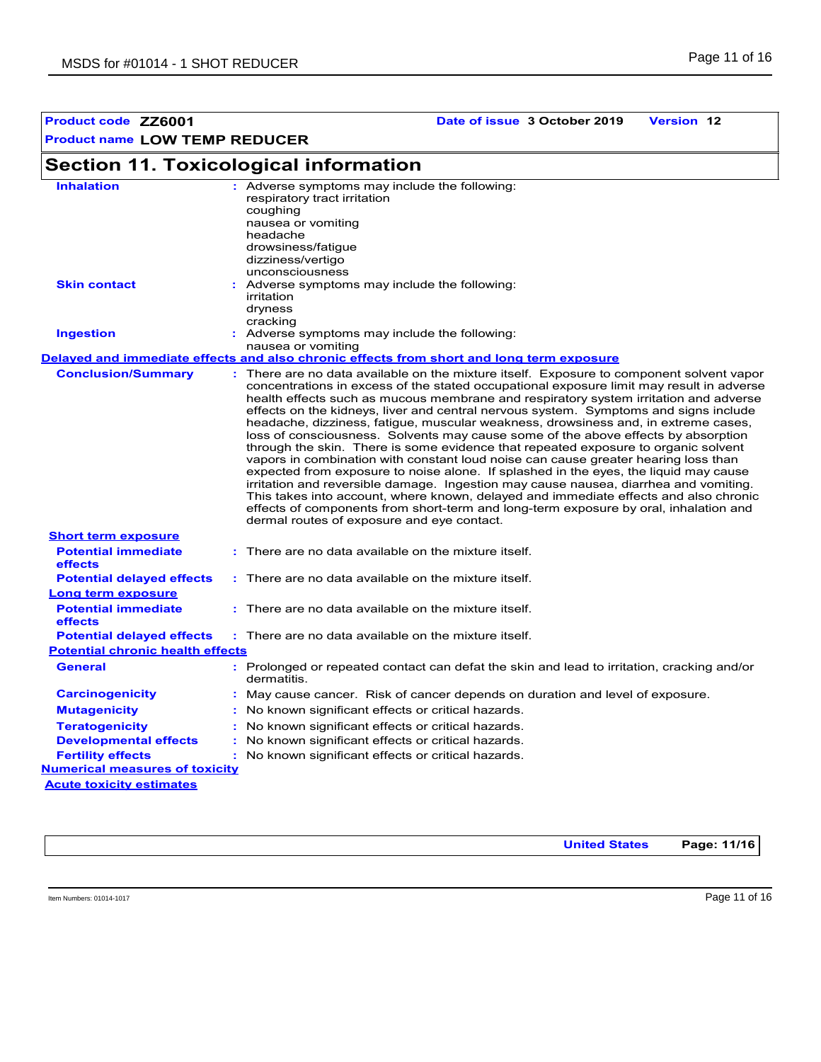# **Section 11. Toxicological information**

| 00000011 1 1. 1 0810010910a1 111101111au011 |                                                                                                                                                                                                                                                                                                                                                                                                                                                                                                                                                                                                                                                                                                                                                                                                                                                                                                                                                                                                                                                                                                                                           |
|---------------------------------------------|-------------------------------------------------------------------------------------------------------------------------------------------------------------------------------------------------------------------------------------------------------------------------------------------------------------------------------------------------------------------------------------------------------------------------------------------------------------------------------------------------------------------------------------------------------------------------------------------------------------------------------------------------------------------------------------------------------------------------------------------------------------------------------------------------------------------------------------------------------------------------------------------------------------------------------------------------------------------------------------------------------------------------------------------------------------------------------------------------------------------------------------------|
| <b>Inhalation</b>                           | : Adverse symptoms may include the following:<br>respiratory tract irritation<br>coughing<br>nausea or vomiting<br>headache<br>drowsiness/fatigue                                                                                                                                                                                                                                                                                                                                                                                                                                                                                                                                                                                                                                                                                                                                                                                                                                                                                                                                                                                         |
|                                             | dizziness/vertigo<br>unconsciousness                                                                                                                                                                                                                                                                                                                                                                                                                                                                                                                                                                                                                                                                                                                                                                                                                                                                                                                                                                                                                                                                                                      |
| <b>Skin contact</b>                         | : Adverse symptoms may include the following:                                                                                                                                                                                                                                                                                                                                                                                                                                                                                                                                                                                                                                                                                                                                                                                                                                                                                                                                                                                                                                                                                             |
|                                             | irritation<br>dryness                                                                                                                                                                                                                                                                                                                                                                                                                                                                                                                                                                                                                                                                                                                                                                                                                                                                                                                                                                                                                                                                                                                     |
|                                             | cracking                                                                                                                                                                                                                                                                                                                                                                                                                                                                                                                                                                                                                                                                                                                                                                                                                                                                                                                                                                                                                                                                                                                                  |
| <b>Ingestion</b>                            | : Adverse symptoms may include the following:                                                                                                                                                                                                                                                                                                                                                                                                                                                                                                                                                                                                                                                                                                                                                                                                                                                                                                                                                                                                                                                                                             |
|                                             | nausea or vomiting                                                                                                                                                                                                                                                                                                                                                                                                                                                                                                                                                                                                                                                                                                                                                                                                                                                                                                                                                                                                                                                                                                                        |
|                                             | Delayed and immediate effects and also chronic effects from short and long term exposure                                                                                                                                                                                                                                                                                                                                                                                                                                                                                                                                                                                                                                                                                                                                                                                                                                                                                                                                                                                                                                                  |
| <b>Conclusion/Summary</b>                   | : There are no data available on the mixture itself. Exposure to component solvent vapor<br>concentrations in excess of the stated occupational exposure limit may result in adverse<br>health effects such as mucous membrane and respiratory system irritation and adverse<br>effects on the kidneys, liver and central nervous system. Symptoms and signs include<br>headache, dizziness, fatigue, muscular weakness, drowsiness and, in extreme cases,<br>loss of consciousness. Solvents may cause some of the above effects by absorption<br>through the skin. There is some evidence that repeated exposure to organic solvent<br>vapors in combination with constant loud noise can cause greater hearing loss than<br>expected from exposure to noise alone. If splashed in the eyes, the liquid may cause<br>irritation and reversible damage. Ingestion may cause nausea, diarrhea and vomiting.<br>This takes into account, where known, delayed and immediate effects and also chronic<br>effects of components from short-term and long-term exposure by oral, inhalation and<br>dermal routes of exposure and eye contact. |
| <b>Short term exposure</b>                  |                                                                                                                                                                                                                                                                                                                                                                                                                                                                                                                                                                                                                                                                                                                                                                                                                                                                                                                                                                                                                                                                                                                                           |
| <b>Potential immediate</b><br>effects       | : There are no data available on the mixture itself.                                                                                                                                                                                                                                                                                                                                                                                                                                                                                                                                                                                                                                                                                                                                                                                                                                                                                                                                                                                                                                                                                      |
| <b>Potential delayed effects</b>            | $:$ There are no data available on the mixture itself.                                                                                                                                                                                                                                                                                                                                                                                                                                                                                                                                                                                                                                                                                                                                                                                                                                                                                                                                                                                                                                                                                    |
| <b>Long term exposure</b>                   |                                                                                                                                                                                                                                                                                                                                                                                                                                                                                                                                                                                                                                                                                                                                                                                                                                                                                                                                                                                                                                                                                                                                           |
| <b>Potential immediate</b><br>effects       | : There are no data available on the mixture itself.                                                                                                                                                                                                                                                                                                                                                                                                                                                                                                                                                                                                                                                                                                                                                                                                                                                                                                                                                                                                                                                                                      |
| <b>Potential delayed effects</b>            | : There are no data available on the mixture itself.                                                                                                                                                                                                                                                                                                                                                                                                                                                                                                                                                                                                                                                                                                                                                                                                                                                                                                                                                                                                                                                                                      |
| <b>Potential chronic health effects</b>     |                                                                                                                                                                                                                                                                                                                                                                                                                                                                                                                                                                                                                                                                                                                                                                                                                                                                                                                                                                                                                                                                                                                                           |
| <b>General</b>                              | : Prolonged or repeated contact can defat the skin and lead to irritation, cracking and/or<br>dermatitis.                                                                                                                                                                                                                                                                                                                                                                                                                                                                                                                                                                                                                                                                                                                                                                                                                                                                                                                                                                                                                                 |
| <b>Carcinogenicity</b>                      | : May cause cancer. Risk of cancer depends on duration and level of exposure.                                                                                                                                                                                                                                                                                                                                                                                                                                                                                                                                                                                                                                                                                                                                                                                                                                                                                                                                                                                                                                                             |
| <b>Mutagenicity</b>                         | : No known significant effects or critical hazards.                                                                                                                                                                                                                                                                                                                                                                                                                                                                                                                                                                                                                                                                                                                                                                                                                                                                                                                                                                                                                                                                                       |
|                                             | : No known significant effects or critical hazards.                                                                                                                                                                                                                                                                                                                                                                                                                                                                                                                                                                                                                                                                                                                                                                                                                                                                                                                                                                                                                                                                                       |
| <b>Teratogenicity</b>                       |                                                                                                                                                                                                                                                                                                                                                                                                                                                                                                                                                                                                                                                                                                                                                                                                                                                                                                                                                                                                                                                                                                                                           |
| <b>Developmental effects</b>                | No known significant effects or critical hazards.                                                                                                                                                                                                                                                                                                                                                                                                                                                                                                                                                                                                                                                                                                                                                                                                                                                                                                                                                                                                                                                                                         |
| <b>Fertility effects</b>                    | : No known significant effects or critical hazards.                                                                                                                                                                                                                                                                                                                                                                                                                                                                                                                                                                                                                                                                                                                                                                                                                                                                                                                                                                                                                                                                                       |
| <b>Numerical measures of toxicity</b>       |                                                                                                                                                                                                                                                                                                                                                                                                                                                                                                                                                                                                                                                                                                                                                                                                                                                                                                                                                                                                                                                                                                                                           |

**United States Page: 11/16**

**Product code ZZ6001 Date of issue 3 October 2019 Version 12**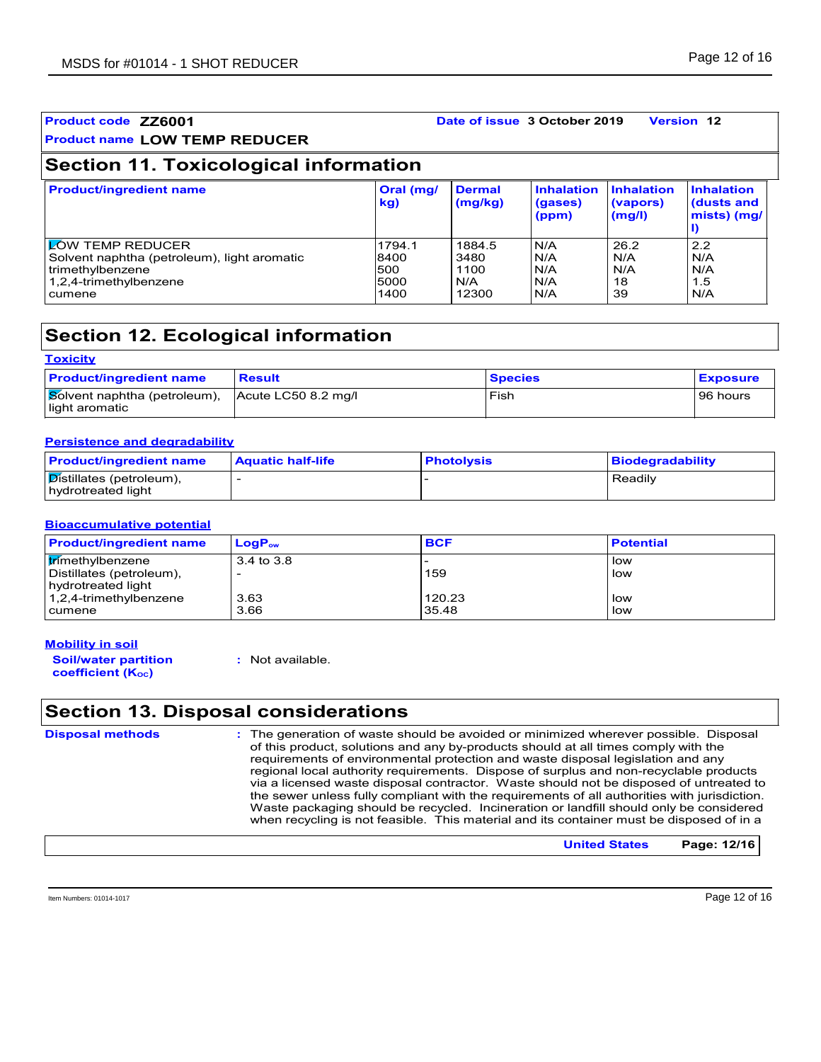| Product code ZZ6001<br><b>Version 12</b><br>Date of issue 3 October 2019<br><b>Product name LOW TEMP REDUCER</b><br><b>Section 11. Toxicological information</b> |                                       |                                        |                                 |                                |                                 |
|------------------------------------------------------------------------------------------------------------------------------------------------------------------|---------------------------------------|----------------------------------------|---------------------------------|--------------------------------|---------------------------------|
|                                                                                                                                                                  |                                       |                                        |                                 |                                | <b>Product/ingredient name</b>  |
| <b>LOW TEMP REDUCER</b><br>Solvent naphtha (petroleum), light aromatic<br>trimethylbenzene<br>1,2,4-trimethylbenzene<br>cumene                                   | 1794.1<br>8400<br>500<br>5000<br>1400 | 1884.5<br>3480<br>1100<br>N/A<br>12300 | N/A<br>N/A<br>N/A<br>N/A<br>N/A | 26.2<br>N/A<br>N/A<br>18<br>39 | 2.2<br>N/A<br>N/A<br>1.5<br>N/A |

# **Section 12. Ecological information**

| <b>Toxicity</b>                                |                     |                |                 |
|------------------------------------------------|---------------------|----------------|-----------------|
| <b>Product/ingredient name</b>                 | <b>Result</b>       | <b>Species</b> | <b>Exposure</b> |
| Solvent naphtha (petroleum),<br>light aromatic | Acute LC50 8.2 mg/l | Fish           | 96 hours        |

#### **Persistence and degradability**

| <b>Product/ingredient name</b>                 | <b>Aquatic half-life</b> | <b>Photolysis</b> | Biodegradability |
|------------------------------------------------|--------------------------|-------------------|------------------|
| Distillates (petroleum),<br>hydrotreated light |                          |                   | Readily          |

#### **Bioaccumulative potential**

| <b>Product/ingredient name</b> | $LogP_{ow}$ | <b>BCF</b> | <b>Potential</b> |
|--------------------------------|-------------|------------|------------------|
| <b>trimethylbenzene</b>        | 3.4 to 3.8  |            | low              |
| Distillates (petroleum),       |             | 159        | low              |
| hydrotreated light             |             |            |                  |
| 1,2,4-trimethylbenzene         | 3.63        | 120.23     | low              |
| cumene                         | 3.66        | 35.48      | low              |

### **Mobility in soil**

**Soil/water partition coefficient (KOC)**

**:** Not available.

### **Section 13. Disposal considerations**

**Disposal methods :**

The generation of waste should be avoided or minimized wherever possible. Disposal of this product, solutions and any by-products should at all times comply with the requirements of environmental protection and waste disposal legislation and any regional local authority requirements. Dispose of surplus and non-recyclable products via a licensed waste disposal contractor. Waste should not be disposed of untreated to the sewer unless fully compliant with the requirements of all authorities with jurisdiction. Waste packaging should be recycled. Incineration or landfill should only be considered when recycling is not feasible. This material and its container must be disposed of in a

**United States Page: 12/16**

Item Numbers: 01014-1017 Page 12 of 16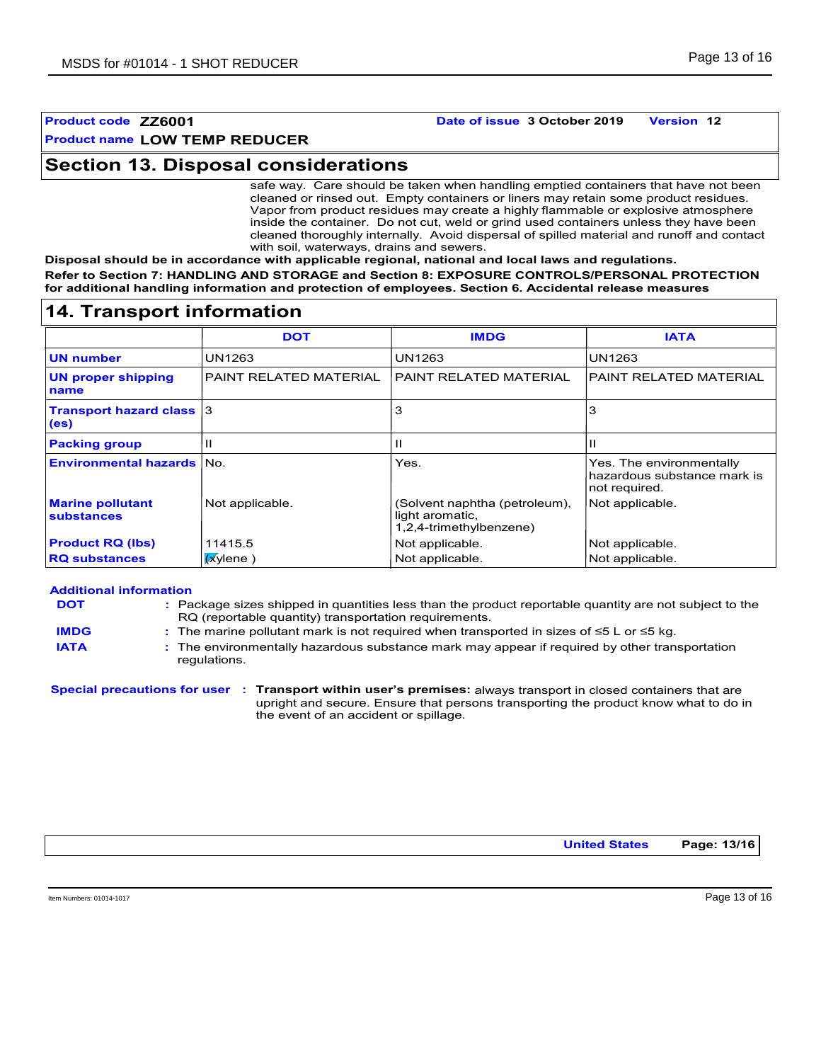### **Product code ZZ6001 Date of issue 3 October 2019 Version 12**

# **Section 13. Disposal considerations**

safe way. Care should be taken when handling emptied containers that have not been cleaned or rinsed out. Empty containers or liners may retain some product residues. Vapor from product residues may create a highly flammable or explosive atmosphere inside the container. Do not cut, weld or grind used containers unless they have been cleaned thoroughly internally. Avoid dispersal of spilled material and runoff and contact with soil, waterways, drains and sewers.

**Disposal should be in accordance with applicable regional, national and local laws and regulations. Refer to Section 7: HANDLING AND STORAGE and Section 8: EXPOSURE CONTROLS/PERSONAL PROTECTION for additional handling information and protection of employees. Section 6. Accidental release measures**

### **14. Transport information**

|                                                      | <b>DOT</b>             | <b>IMDG</b>                                                                 | <b>IATA</b>                                                               |
|------------------------------------------------------|------------------------|-----------------------------------------------------------------------------|---------------------------------------------------------------------------|
| <b>UN number</b>                                     | UN1263                 | UN1263                                                                      | UN1263                                                                    |
| <b>UN proper shipping</b><br>name                    | PAINT RELATED MATERIAL | <b>PAINT RELATED MATERIAL</b>                                               | PAINT RELATED MATERIAL                                                    |
| <b>Transport hazard class 3</b><br>(e <sub>s</sub> ) |                        | 3                                                                           | 3                                                                         |
| <b>Packing group</b>                                 |                        | Ш                                                                           |                                                                           |
| Environmental hazards No.                            |                        | Yes.                                                                        | Yes. The environmentally<br>hazardous substance mark is<br> not required. |
| <b>Marine pollutant</b><br><b>substances</b>         | Not applicable.        | (Solvent naphtha (petroleum),<br>light aromatic,<br>1,2,4-trimethylbenzene) | Not applicable.                                                           |
| <b>Product RQ (lbs)</b>                              | 11415.5                | Not applicable.                                                             | Not applicable.                                                           |
| <b>RQ substances</b>                                 | $(x$ vlene)            | Not applicable.                                                             | Not applicable.                                                           |

#### **Additional information**

**DOT IMDG**

- Package sizes shipped in quantities less than the product reportable quantity are not subject to the **:** RQ (reportable quantity) transportation requirements.
- The marine pollutant mark is not required when transported in sizes of ≤5 L or ≤5 kg. **:**
- **IATA :** The environmentally hazardous substance mark may appear if required by other transportation regulations.

**Special precautions for user Transport within user's premises:** always transport in closed containers that are **:** upright and secure. Ensure that persons transporting the product know what to do in the event of an accident or spillage.

**United States Page: 13/16**

Item Numbers: 01014-1017 Page 13 of 16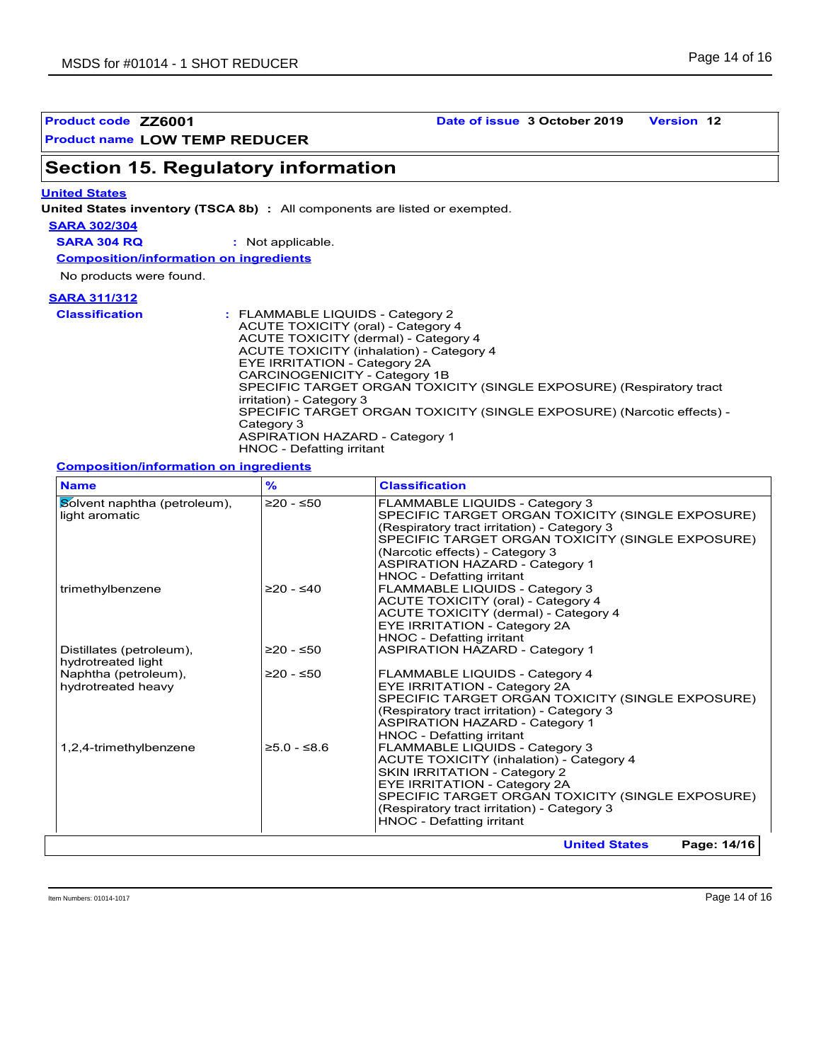**Product code ZZ6001 Date of issue 3 October 2019 Version 12**

## **Section 15. Regulatory information**

#### **United States**

**United States inventory (TSCA 8b) :** All components are listed or exempted.

```
SARA 302/304
```
**SARA 304 RQ :** Not applicable.

**Composition/information on ingredients**

No products were found.

#### **SARA 311/312**

| <b>Classification</b> | : FLAMMABLE LIQUIDS - Category 2<br>ACUTE TOXICITY (oral) - Category 4<br><b>ACUTE TOXICITY (dermal) - Category 4</b><br>ACUTE TOXICITY (inhalation) - Category 4<br>EYE IRRITATION - Category 2A<br>CARCINOGENICITY - Category 1B<br>SPECIFIC TARGET ORGAN TOXICITY (SINGLE EXPOSURE) (Respiratory tract<br>irritation) - Category 3<br>SPECIFIC TARGET ORGAN TOXICITY (SINGLE EXPOSURE) (Narcotic effects) -<br>Category 3 |
|-----------------------|------------------------------------------------------------------------------------------------------------------------------------------------------------------------------------------------------------------------------------------------------------------------------------------------------------------------------------------------------------------------------------------------------------------------------|
|                       | <b>ASPIRATION HAZARD - Category 1</b><br>HNOC - Defatting irritant                                                                                                                                                                                                                                                                                                                                                           |

#### **Composition/information on ingredients**

| $\frac{9}{6}$ | <b>Classification</b>                                                                                                                                                                                                                                                                           |
|---------------|-------------------------------------------------------------------------------------------------------------------------------------------------------------------------------------------------------------------------------------------------------------------------------------------------|
| $≥20 - ≤50$   | FLAMMABLE LIQUIDS - Category 3<br>SPECIFIC TARGET ORGAN TOXICITY (SINGLE EXPOSURE)<br>(Respiratory tract irritation) - Category 3<br>SPECIFIC TARGET ORGAN TOXICITY (SINGLE EXPOSURE)<br>(Narcotic effects) - Category 3<br><b>ASPIRATION HAZARD - Category 1</b><br>HNOC - Defatting irritant  |
| $≥20 - ≤40$   | <b>FLAMMABLE LIQUIDS - Category 3</b><br>ACUTE TOXICITY (oral) - Category 4<br><b>ACUTE TOXICITY (dermal) - Category 4</b><br>EYE IRRITATION - Category 2A<br>HNOC - Defatting irritant                                                                                                         |
| $≥20 - ≤50$   | <b>ASPIRATION HAZARD - Category 1</b>                                                                                                                                                                                                                                                           |
| $≥20 - ≤50$   | FLAMMABLE LIQUIDS - Category 4<br>EYE IRRITATION - Category 2A<br>SPECIFIC TARGET ORGAN TOXICITY (SINGLE EXPOSURE)<br>(Respiratory tract irritation) - Category 3<br><b>ASPIRATION HAZARD - Category 1</b><br>HNOC - Defatting irritant                                                         |
| $≥5.0 - ≤8.6$ | FLAMMABLE LIQUIDS - Category 3<br><b>ACUTE TOXICITY (inhalation) - Category 4</b><br><b>SKIN IRRITATION - Category 2</b><br>EYE IRRITATION - Category 2A<br>SPECIFIC TARGET ORGAN TOXICITY (SINGLE EXPOSURE)<br>(Respiratory tract irritation) - Category 3<br><b>HNOC - Defatting irritant</b> |
|               |                                                                                                                                                                                                                                                                                                 |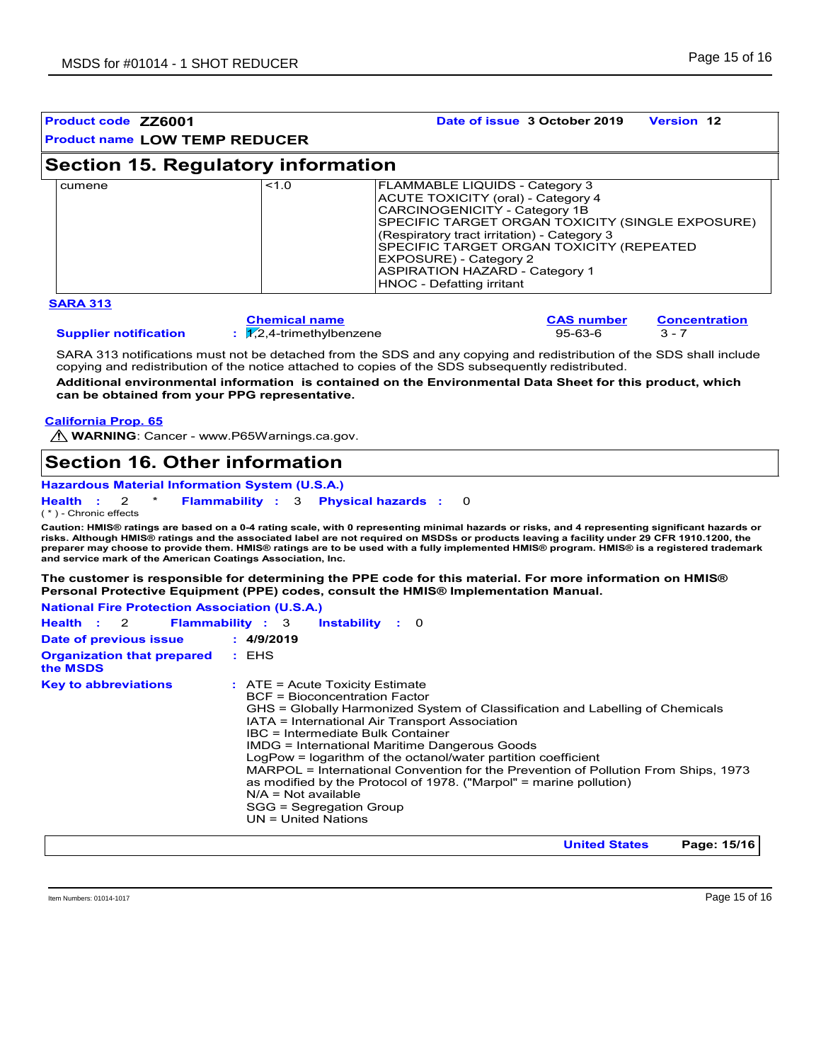| Product code ZZ6001                                                                                                               |                                        | Date of issue 3 October 2019                                                                                                                                                                                                                                                                                                                                                                                                                            | <b>Version 12</b>    |  |  |
|-----------------------------------------------------------------------------------------------------------------------------------|----------------------------------------|---------------------------------------------------------------------------------------------------------------------------------------------------------------------------------------------------------------------------------------------------------------------------------------------------------------------------------------------------------------------------------------------------------------------------------------------------------|----------------------|--|--|
| <b>Product name LOW TEMP REDUCER</b>                                                                                              |                                        |                                                                                                                                                                                                                                                                                                                                                                                                                                                         |                      |  |  |
| <b>Section 15. Regulatory information</b>                                                                                         |                                        |                                                                                                                                                                                                                                                                                                                                                                                                                                                         |                      |  |  |
| cumene                                                                                                                            | 1.0                                    | FLAMMABLE LIQUIDS - Category 3<br><b>ACUTE TOXICITY (oral) - Category 4</b><br>CARCINOGENICITY - Category 1B<br>SPECIFIC TARGET ORGAN TOXICITY (SINGLE EXPOSURE)<br>(Respiratory tract irritation) - Category 3<br>SPECIFIC TARGET ORGAN TOXICITY (REPEATED<br>EXPOSURE) - Category 2<br><b>ASPIRATION HAZARD - Category 1</b><br><b>HNOC - Defatting irritant</b>                                                                                      |                      |  |  |
| <b>SARA 313</b>                                                                                                                   |                                        |                                                                                                                                                                                                                                                                                                                                                                                                                                                         |                      |  |  |
|                                                                                                                                   | <b>Chemical name</b>                   | <b>CAS number</b>                                                                                                                                                                                                                                                                                                                                                                                                                                       | <b>Concentration</b> |  |  |
| <b>Supplier notification</b>                                                                                                      | : $\overline{1/2}$ ,4-trimethylbenzene | $95 - 63 - 6$                                                                                                                                                                                                                                                                                                                                                                                                                                           | $3 - 7$              |  |  |
| can be obtained from your PPG representative.<br><b>California Prop. 65</b><br><b>N WARNING:</b> Cancer - www.P65Warnings.ca.gov. |                                        | Additional environmental information is contained on the Environmental Data Sheet for this product, which                                                                                                                                                                                                                                                                                                                                               |                      |  |  |
| <b>Section 16. Other information</b>                                                                                              |                                        |                                                                                                                                                                                                                                                                                                                                                                                                                                                         |                      |  |  |
| <b>Hazardous Material Information System (U.S.A.)</b>                                                                             |                                        |                                                                                                                                                                                                                                                                                                                                                                                                                                                         |                      |  |  |
| 2<br><b>Health</b><br>$(*)$ - Chronic effects<br>and service mark of the American Coatings Association, Inc.                      | Flammability: 3 Physical hazards:      | $\Omega$<br>Caution: HMIS® ratings are based on a 0-4 rating scale, with 0 representing minimal hazards or risks, and 4 representing significant hazards or<br>risks. Although HMIS® ratings and the associated label are not required on MSDSs or products leaving a facility under 29 CFR 1910.1200, the<br>preparer may choose to provide them. HMIS® ratings are to be used with a fully implemented HMIS® program. HMIS® is a registered trademark |                      |  |  |
|                                                                                                                                   |                                        | The customer is responsible for determining the PPE code for this material. For more information on HMIS®                                                                                                                                                                                                                                                                                                                                               |                      |  |  |
| Personal Protective Equipment (PPE) codes, consult the HMIS® Implementation Manual.                                               |                                        |                                                                                                                                                                                                                                                                                                                                                                                                                                                         |                      |  |  |
| <b>National Fire Protection Association (U.S.A.)</b><br>Health :<br><b>Flammability: 3</b><br>2                                   | <b>Instability</b> : 0                 |                                                                                                                                                                                                                                                                                                                                                                                                                                                         |                      |  |  |

| Date of previous issue<br><b>Organization that prepared</b><br>the MSDS | : 4/9/2019<br>: EHS                                                                                                                                                                                                                                                                                                                                                                                                                                                                                                                                                                                                   |
|-------------------------------------------------------------------------|-----------------------------------------------------------------------------------------------------------------------------------------------------------------------------------------------------------------------------------------------------------------------------------------------------------------------------------------------------------------------------------------------------------------------------------------------------------------------------------------------------------------------------------------------------------------------------------------------------------------------|
| <b>Key to abbreviations</b>                                             | $\therefore$ ATE = Acute Toxicity Estimate<br><b>BCF</b> = Bioconcentration Factor<br>GHS = Globally Harmonized System of Classification and Labelling of Chemicals<br>IATA = International Air Transport Association<br>IBC = Intermediate Bulk Container<br>IMDG = International Maritime Dangerous Goods<br>LogPow = logarithm of the octanol/water partition coefficient<br>MARPOL = International Convention for the Prevention of Pollution From Ships, 1973<br>as modified by the Protocol of 1978. ("Marpol" = marine pollution)<br>$N/A = Not available$<br>SGG = Segregation Group<br>$UN = United Nations$ |
|                                                                         | $D - 224$<br><b>The March Odenham</b>                                                                                                                                                                                                                                                                                                                                                                                                                                                                                                                                                                                 |

**United States Page: 15/16**